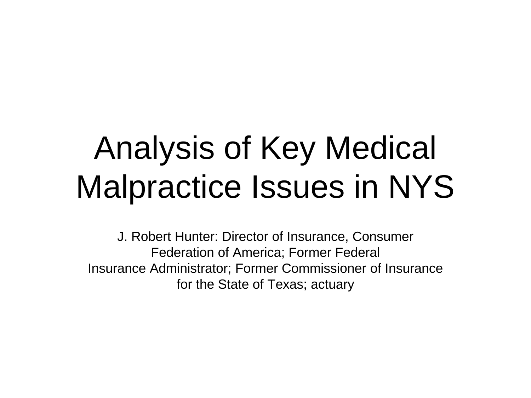## Analysis of Key Medical Malpractice Issues in NYS

J. Robert Hunter: Director of Insurance, Consumer Federation of America; Former Federal Insurance Administrator; Former Commissioner of Insurance for the State of Texas; actuary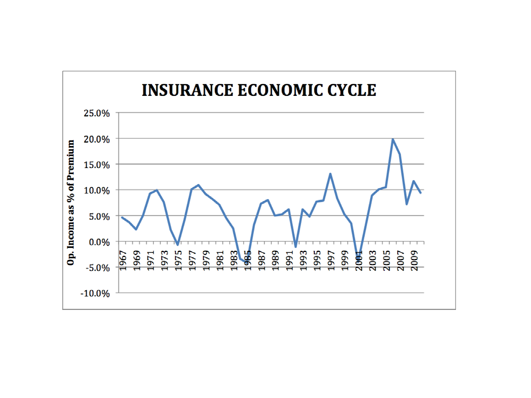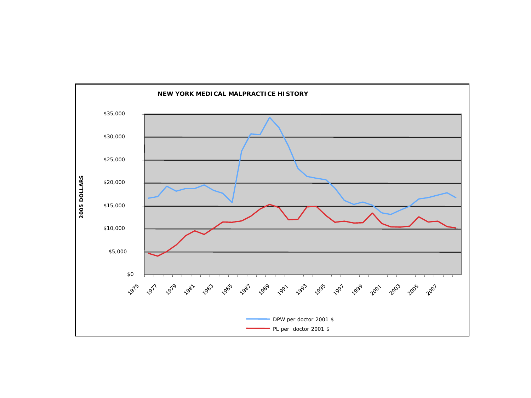